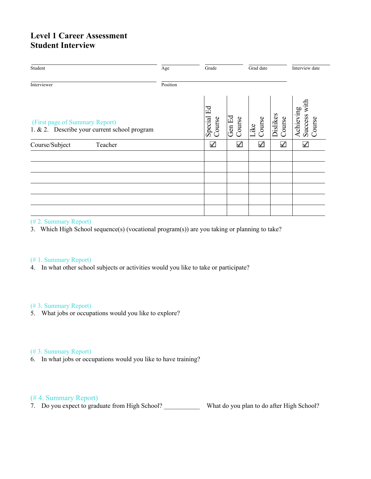# **Level 1 Career Assessment Student Interview**

| Student                                                                        | Age      | Grade                   |                  |                |                    | Interview date                         |  |
|--------------------------------------------------------------------------------|----------|-------------------------|------------------|----------------|--------------------|----------------------------------------|--|
| Interviewer                                                                    | Position |                         |                  |                |                    |                                        |  |
| (First page of Summary Report)<br>1. & 2. Describe your current school program |          | Ed<br>Special<br>Course | Gen Ed<br>Course | Course<br>Like | Dislikes<br>Course | with<br>Achieving<br>Success<br>Course |  |
| Course/Subject<br>Teacher                                                      |          | $\checkmark$            | ✓                | ✓              | ✓                  | ✓                                      |  |
|                                                                                |          |                         |                  |                |                    |                                        |  |
|                                                                                |          |                         |                  |                |                    |                                        |  |
|                                                                                |          |                         |                  |                |                    |                                        |  |
|                                                                                |          |                         |                  |                |                    |                                        |  |
|                                                                                |          |                         |                  |                |                    |                                        |  |
|                                                                                |          |                         |                  |                |                    |                                        |  |

### (# 2. Summary Report)

3. Which High School sequence(s) (vocational program(s)) are you taking or planning to take?

### (# 1. Summary Report)

4. In what other school subjects or activities would you like to take or participate?

### (# 3. Summary Report)

5. What jobs or occupations would you like to explore?

#### (# 3. Summary Report)

6. In what jobs or occupations would you like to have training?

## (# 4. Summary Report)

7. Do you expect to graduate from High School? \_\_\_\_\_\_\_\_\_\_\_ What do you plan to do after High School?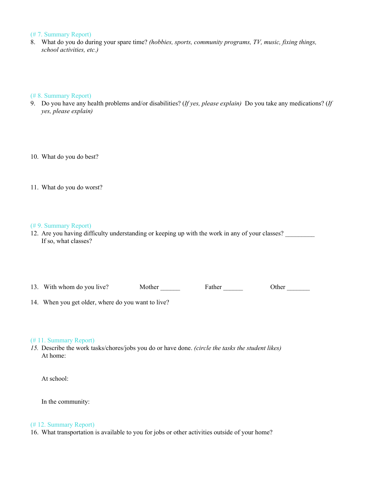#### (# 7. Summary Report)

8. What do you do during your spare time? *(hobbies, sports, community programs, TV, music, fixing things, school activities, etc.)*

### (# 8. Summary Report)

- 9. Do you have any health problems and/or disabilities? (*If yes, please explain)* Do you take any medications? (*If yes, please explain)*
- 10. What do you do best?
- 11. What do you do worst?

#### (# 9. Summary Report)

12. Are you having difficulty understanding or keeping up with the work in any of your classes? If so, what classes?

13. With whom do you live? Mother Father Father Mother Mother Music School of Basic School of Basic School of B

14. When you get older, where do you want to live?

#### (# 11. Summary Report)

*15.* Describe the work tasks/chores/jobs you do or have done. *(circle the tasks the student likes)* At home:

At school:

In the community:

#### (# 12. Summary Report)

16. What transportation is available to you for jobs or other activities outside of your home?